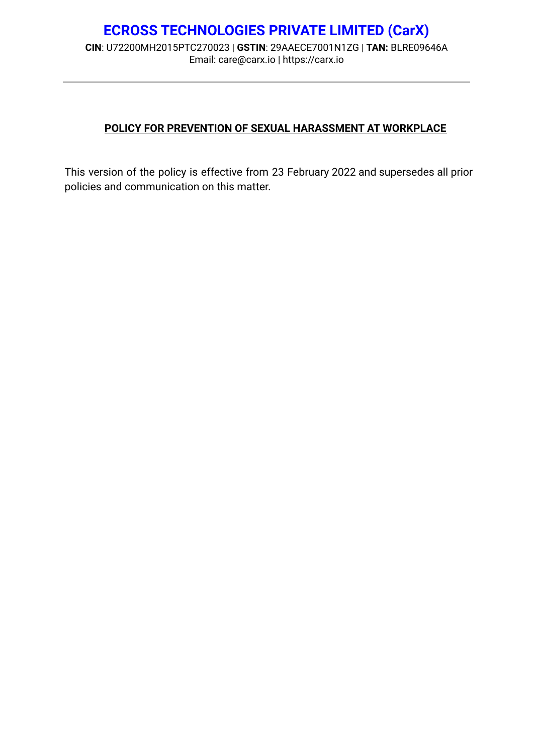# **ECROSS TECHNOLOGIES PRIVATE LIMITED (CarX) CIN**: U72200MH2015PTC270023 | **GSTIN**: 29AAECE7001N1ZG | **TAN:** BLRE09646A Email: care@carx.io | <https://carx.io>

# **POLICY FOR PREVENTION OF SEXUAL HARASSMENT AT WORKPLACE**

This version of the policy is effective from 23 February 2022 and supersedes all prior policies and communication on this matter.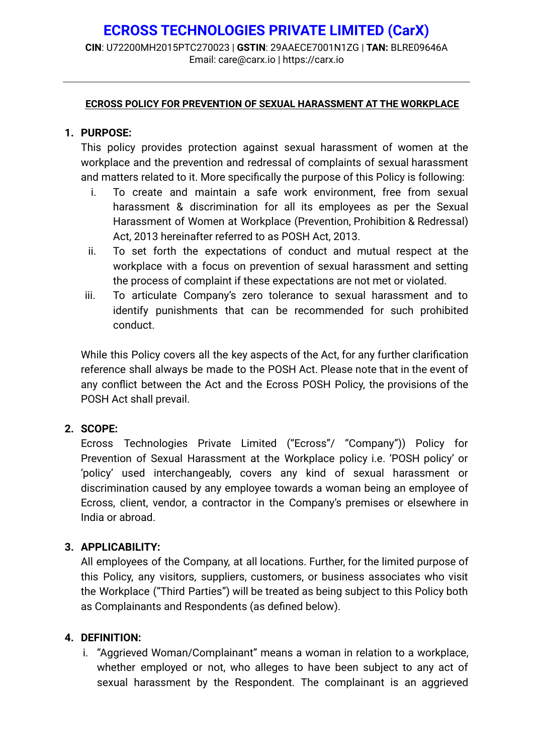**CIN**: U72200MH2015PTC270023 | **GSTIN**: 29AAECE7001N1ZG | **TAN:** BLRE09646A Email: care@carx.io | <https://carx.io>

#### **ECROSS POLICY FOR PREVENTION OF SEXUAL HARASSMENT AT THE WORKPLACE**

# **1. PURPOSE:**

This policy provides protection against sexual harassment of women at the workplace and the prevention and redressal of complaints of sexual harassment and matters related to it. More specifically the purpose of this Policy is following:

- i. To create and maintain a safe work environment, free from sexual harassment & discrimination for all its employees as per the Sexual Harassment of Women at Workplace (Prevention, Prohibition & Redressal) Act, 2013 hereinafter referred to as POSH Act, 2013.
- ii. To set forth the expectations of conduct and mutual respect at the workplace with a focus on prevention of sexual harassment and setting the process of complaint if these expectations are not met or violated.
- iii. To articulate Company's zero tolerance to sexual harassment and to identify punishments that can be recommended for such prohibited conduct.

While this Policy covers all the key aspects of the Act, for any further clarification reference shall always be made to the POSH Act. Please note that in the event of any conflict between the Act and the Ecross POSH Policy, the provisions of the POSH Act shall prevail.

# **2. SCOPE:**

Ecross Technologies Private Limited ("Ecross"/ "Company")) Policy for Prevention of Sexual Harassment at the Workplace policy i.e. 'POSH policy' or 'policy' used interchangeably, covers any kind of sexual harassment or discrimination caused by any employee towards a woman being an employee of Ecross, client, vendor, a contractor in the Company's premises or elsewhere in India or abroad.

# **3. APPLICABILITY:**

All employees of the Company, at all locations. Further, for the limited purpose of this Policy, any visitors, suppliers, customers, or business associates who visit the Workplace ("Third Parties") will be treated as being subject to this Policy both as Complainants and Respondents (as defined below).

# **4. DEFINITION:**

i. "Aggrieved Woman/Complainant" means a woman in relation to a workplace, whether employed or not, who alleges to have been subject to any act of sexual harassment by the Respondent. The complainant is an aggrieved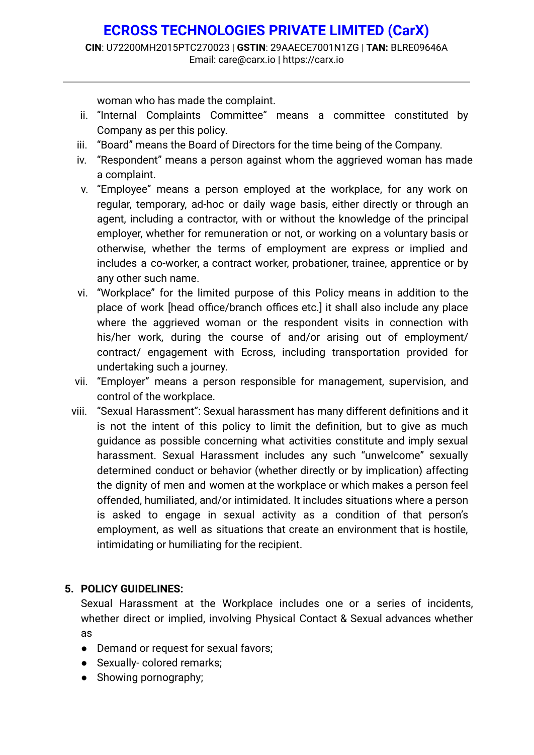woman who has made the complaint.

- ii. "Internal Complaints Committee" means a committee constituted by Company as per this policy.
- iii. "Board" means the Board of Directors for the time being of the Company.
- iv. "Respondent" means a person against whom the aggrieved woman has made a complaint.
- v. "Employee" means a person employed at the workplace, for any work on regular, temporary, ad-hoc or daily wage basis, either directly or through an agent, including a contractor, with or without the knowledge of the principal employer, whether for remuneration or not, or working on a voluntary basis or otherwise, whether the terms of employment are express or implied and includes a co-worker, a contract worker, probationer, trainee, apprentice or by any other such name.
- vi. "Workplace" for the limited purpose of this Policy means in addition to the place of work [head office/branch offices etc.] it shall also include any place where the aggrieved woman or the respondent visits in connection with his/her work, during the course of and/or arising out of employment/ contract/ engagement with Ecross, including transportation provided for undertaking such a journey.
- vii. "Employer" means a person responsible for management, supervision, and control of the workplace.
- viii. "Sexual Harassment": Sexual harassment has many different definitions and it is not the intent of this policy to limit the definition, but to give as much guidance as possible concerning what activities constitute and imply sexual harassment. Sexual Harassment includes any such "unwelcome" sexually determined conduct or behavior (whether directly or by implication) affecting the dignity of men and women at the workplace or which makes a person feel offended, humiliated, and/or intimidated. It includes situations where a person is asked to engage in sexual activity as a condition of that person's employment, as well as situations that create an environment that is hostile, intimidating or humiliating for the recipient.

# **5. POLICY GUIDELINES:**

Sexual Harassment at the Workplace includes one or a series of incidents, whether direct or implied, involving Physical Contact & Sexual advances whether as

- Demand or request for sexual favors;
- Sexually-colored remarks:
- Showing pornography;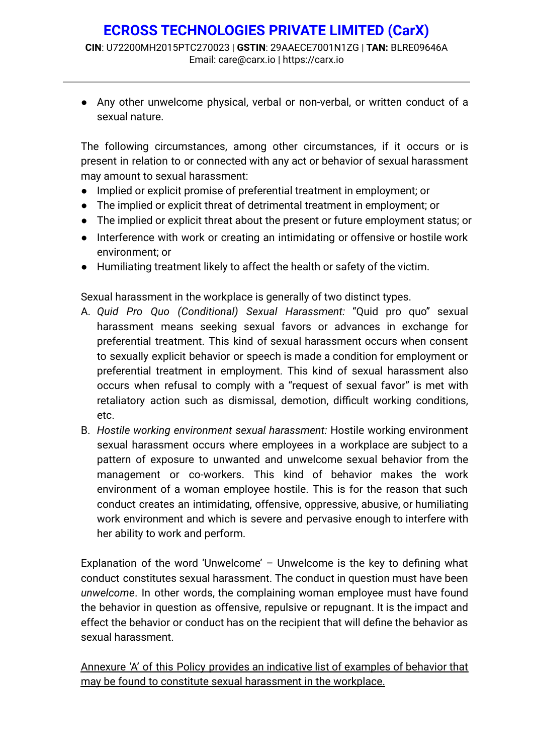● Any other unwelcome physical, verbal or non-verbal, or written conduct of a sexual nature.

The following circumstances, among other circumstances, if it occurs or is present in relation to or connected with any act or behavior of sexual harassment may amount to sexual harassment:

- Implied or explicit promise of preferential treatment in employment; or
- The implied or explicit threat of detrimental treatment in employment; or
- The implied or explicit threat about the present or future employment status; or
- Interference with work or creating an intimidating or offensive or hostile work environment; or
- Humiliating treatment likely to affect the health or safety of the victim.

Sexual harassment in the workplace is generally of two distinct types.

- A. *Quid Pro Quo (Conditional) Sexual Harassment:* "Quid pro quo" sexual harassment means seeking sexual favors or advances in exchange for preferential treatment. This kind of sexual harassment occurs when consent to sexually explicit behavior or speech is made a condition for employment or preferential treatment in employment. This kind of sexual harassment also occurs when refusal to comply with a "request of sexual favor" is met with retaliatory action such as dismissal, demotion, difficult working conditions, etc.
- B. *Hostile working environment sexual harassment:* Hostile working environment sexual harassment occurs where employees in a workplace are subject to a pattern of exposure to unwanted and unwelcome sexual behavior from the management or co-workers. This kind of behavior makes the work environment of a woman employee hostile. This is for the reason that such conduct creates an intimidating, offensive, oppressive, abusive, or humiliating work environment and which is severe and pervasive enough to interfere with her ability to work and perform.

Explanation of the word 'Unwelcome' – Unwelcome is the key to defining what conduct constitutes sexual harassment. The conduct in question must have been *unwelcome*. In other words, the complaining woman employee must have found the behavior in question as offensive, repulsive or repugnant. It is the impact and effect the behavior or conduct has on the recipient that will define the behavior as sexual harassment.

Annexure 'A' of this Policy provides an indicative list of examples of behavior that may be found to constitute sexual harassment in the workplace.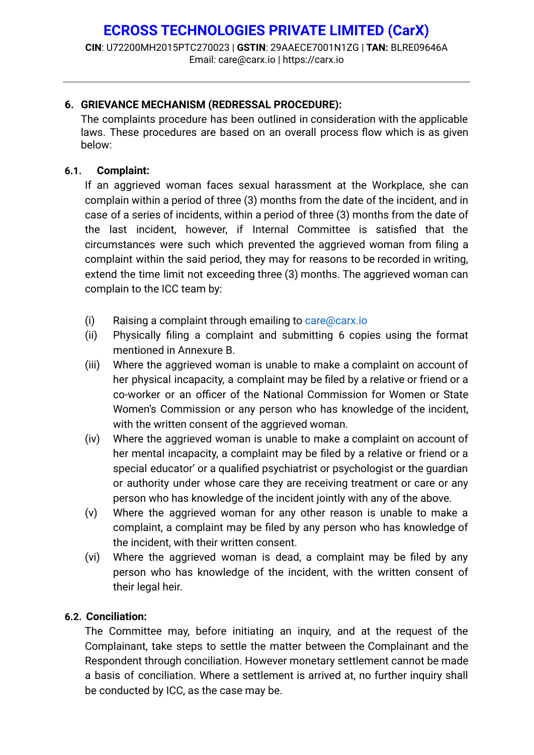**CIN**: U72200MH2015PTC270023 | **GSTIN**: 29AAECE7001N1ZG | **TAN:** BLRE09646A Email: care@carx.io | <https://carx.io>

# **6. GRIEVANCE MECHANISM (REDRESSAL PROCEDURE):**

The complaints procedure has been outlined in consideration with the applicable laws. These procedures are based on an overall process flow which is as given below:

#### **6.1. Complaint:**

If an aggrieved woman faces sexual harassment at the Workplace, she can complain within a period of three (3) months from the date of the incident, and in case of a series of incidents, within a period of three (3) months from the date of the last incident, however, if Internal Committee is satisfied that the circumstances were such which prevented the aggrieved woman from filing a complaint within the said period, they may for reasons to be recorded in writing, extend the time limit not exceeding three (3) months. The aggrieved woman can complain to the ICC team by:

- (i) Raising a complaint through emailing to care@carx.io
- (ii) Physically filing a complaint and submitting 6 copies using the format mentioned in Annexure B.
- (iii) Where the aggrieved woman is unable to make a complaint on account of her physical incapacity, a complaint may be filed by a relative or friend or a co-worker or an officer of the National Commission for Women or State Women's Commission or any person who has knowledge of the incident, with the written consent of the aggrieved woman.
- (iv) Where the aggrieved woman is unable to make a complaint on account of her mental incapacity, a complaint may be filed by a relative or friend or a special educator' or a qualified psychiatrist or psychologist or the guardian or authority under whose care they are receiving treatment or care or any person who has knowledge of the incident jointly with any of the above.
- (v) Where the aggrieved woman for any other reason is unable to make a complaint, a complaint may be filed by any person who has knowledge of the incident, with their written consent.
- (vi) Where the aggrieved woman is dead, a complaint may be filed by any person who has knowledge of the incident, with the written consent of their legal heir.

# **6.2. Conciliation:**

The Committee may, before initiating an inquiry, and at the request of the Complainant, take steps to settle the matter between the Complainant and the Respondent through conciliation. However monetary settlement cannot be made a basis of conciliation. Where a settlement is arrived at, no further inquiry shall be conducted by ICC, as the case may be.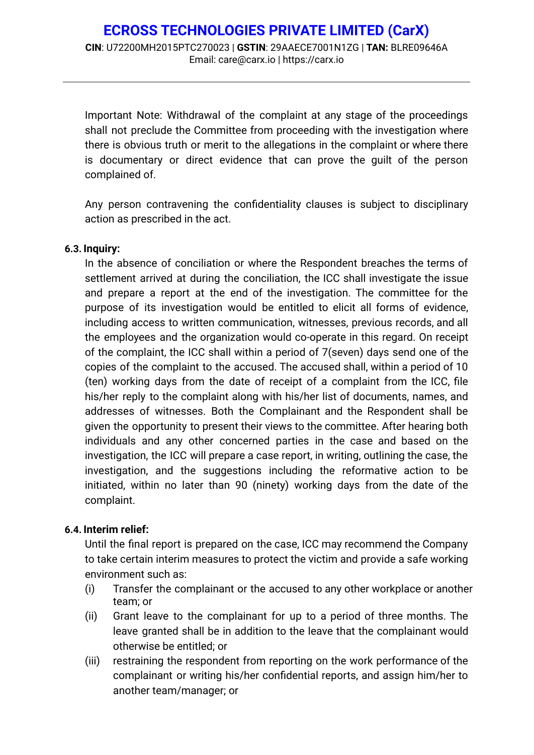Important Note: Withdrawal of the complaint at any stage of the proceedings shall not preclude the Committee from proceeding with the investigation where there is obvious truth or merit to the allegations in the complaint or where there is documentary or direct evidence that can prove the guilt of the person complained of.

Any person contravening the confidentiality clauses is subject to disciplinary action as prescribed in the act.

#### **6.3. Inquiry:**

In the absence of conciliation or where the Respondent breaches the terms of settlement arrived at during the conciliation, the ICC shall investigate the issue and prepare a report at the end of the investigation. The committee for the purpose of its investigation would be entitled to elicit all forms of evidence, including access to written communication, witnesses, previous records, and all the employees and the organization would co-operate in this regard. On receipt of the complaint, the ICC shall within a period of 7(seven) days send one of the copies of the complaint to the accused. The accused shall, within a period of 10 (ten) working days from the date of receipt of a complaint from the ICC, file his/her reply to the complaint along with his/her list of documents, names, and addresses of witnesses. Both the Complainant and the Respondent shall be given the opportunity to present their views to the committee. After hearing both individuals and any other concerned parties in the case and based on the investigation, the ICC will prepare a case report, in writing, outlining the case, the investigation, and the suggestions including the reformative action to be initiated, within no later than 90 (ninety) working days from the date of the complaint.

# **6.4. Interim relief:**

Until the final report is prepared on the case, ICC may recommend the Company to take certain interim measures to protect the victim and provide a safe working environment such as:

- (i) Transfer the complainant or the accused to any other workplace or another team; or
- (ii) Grant leave to the complainant for up to a period of three months. The leave granted shall be in addition to the leave that the complainant would otherwise be entitled; or
- (iii) restraining the respondent from reporting on the work performance of the complainant or writing his/her confidential reports, and assign him/her to another team/manager; or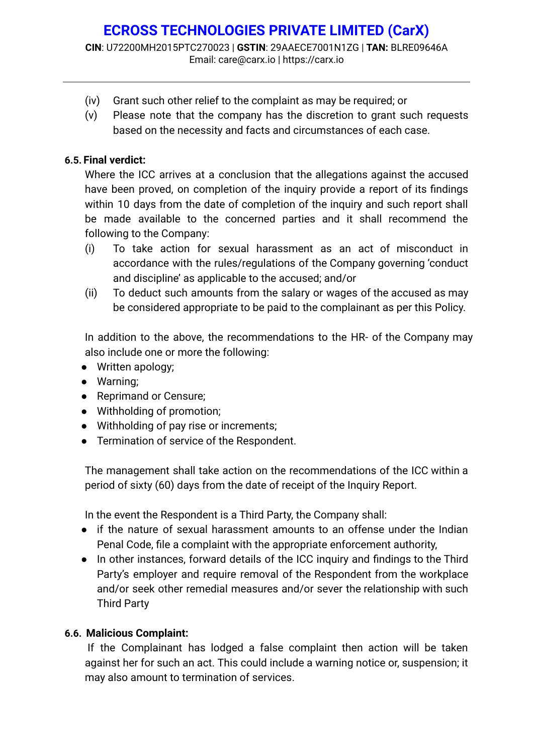- (iv) Grant such other relief to the complaint as may be required; or
- (v) Please note that the company has the discretion to grant such requests based on the necessity and facts and circumstances of each case.

# **6.5. Final verdict:**

Where the ICC arrives at a conclusion that the allegations against the accused have been proved, on completion of the inquiry provide a report of its findings within 10 days from the date of completion of the inquiry and such report shall be made available to the concerned parties and it shall recommend the following to the Company:

- (i) To take action for sexual harassment as an act of misconduct in accordance with the rules/regulations of the Company governing 'conduct and discipline' as applicable to the accused; and/or
- (ii) To deduct such amounts from the salary or wages of the accused as may be considered appropriate to be paid to the complainant as per this Policy.

In addition to the above, the recommendations to the HR- of the Company may also include one or more the following:

- Written apology;
- Warning;
- Reprimand or Censure;
- Withholding of promotion;
- Withholding of pay rise or increments;
- Termination of service of the Respondent.

The management shall take action on the recommendations of the ICC within a period of sixty (60) days from the date of receipt of the Inquiry Report.

In the event the Respondent is a Third Party, the Company shall:

- if the nature of sexual harassment amounts to an offense under the Indian Penal Code, file a complaint with the appropriate enforcement authority,
- In other instances, forward details of the ICC inquiry and findings to the Third Party's employer and require removal of the Respondent from the workplace and/or seek other remedial measures and/or sever the relationship with such Third Party

# **6.6. Malicious Complaint:**

If the Complainant has lodged a false complaint then action will be taken against her for such an act. This could include a warning notice or, suspension; it may also amount to termination of services.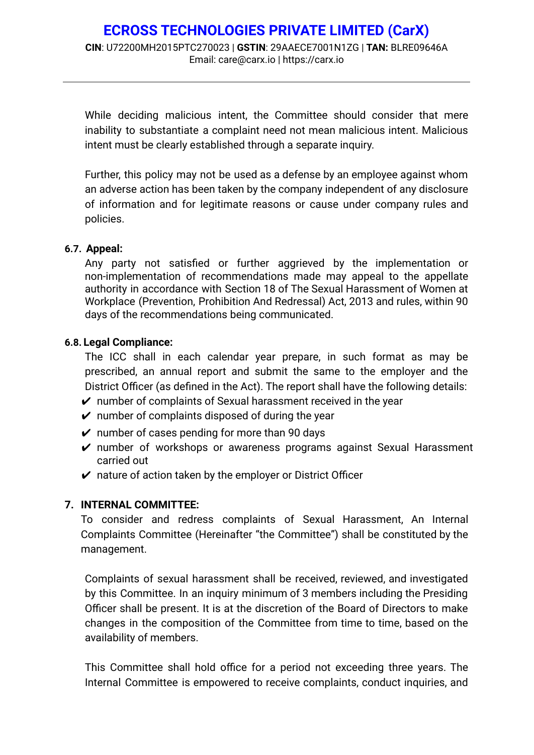# **ECROSS TECHNOLOGIES PRIVATE LIMITED (CarX) CIN**: U72200MH2015PTC270023 | **GSTIN**: 29AAECE7001N1ZG | **TAN:** BLRE09646A Email: care@carx.io | <https://carx.io>

While deciding malicious intent, the Committee should consider that mere inability to substantiate a complaint need not mean malicious intent. Malicious intent must be clearly established through a separate inquiry.

Further, this policy may not be used as a defense by an employee against whom an adverse action has been taken by the company independent of any disclosure of information and for legitimate reasons or cause under company rules and policies.

#### **6.7. Appeal:**

Any party not satisfied or further aggrieved by the implementation or non-implementation of recommendations made may appeal to the appellate authority in accordance with Section 18 of The Sexual Harassment of Women at Workplace (Prevention, Prohibition And Redressal) Act, 2013 and rules, within 90 days of the recommendations being communicated.

#### **6.8. Legal Compliance:**

The ICC shall in each calendar year prepare, in such format as may be prescribed, an annual report and submit the same to the employer and the District Officer (as defined in the Act). The report shall have the following details:

- $\vee$  number of complaints of Sexual harassment received in the year
- $\vee$  number of complaints disposed of during the year
- $\vee$  number of cases pending for more than 90 days
- ✔ number of workshops or awareness programs against Sexual Harassment carried out
- $\mathcal V$  nature of action taken by the employer or District Officer

# **7. INTERNAL COMMITTEE:**

To consider and redress complaints of Sexual Harassment, An Internal Complaints Committee (Hereinafter "the Committee") shall be constituted by the management.

Complaints of sexual harassment shall be received, reviewed, and investigated by this Committee. In an inquiry minimum of 3 members including the Presiding Officer shall be present. It is at the discretion of the Board of Directors to make changes in the composition of the Committee from time to time, based on the availability of members.

This Committee shall hold office for a period not exceeding three years. The Internal Committee is empowered to receive complaints, conduct inquiries, and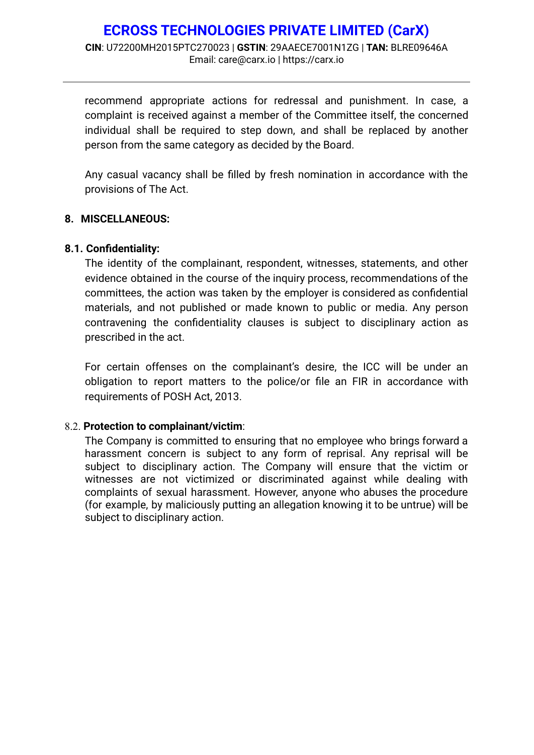recommend appropriate actions for redressal and punishment. In case, a complaint is received against a member of the Committee itself, the concerned individual shall be required to step down, and shall be replaced by another person from the same category as decided by the Board.

Any casual vacancy shall be filled by fresh nomination in accordance with the provisions of The Act.

# **8. MISCELLANEOUS:**

#### **8.1. Confidentiality:**

The identity of the complainant, respondent, witnesses, statements, and other evidence obtained in the course of the inquiry process, recommendations of the committees, the action was taken by the employer is considered as confidential materials, and not published or made known to public or media. Any person contravening the confidentiality clauses is subject to disciplinary action as prescribed in the act.

For certain offenses on the complainant's desire, the ICC will be under an obligation to report matters to the police/or file an FIR in accordance with requirements of POSH Act, 2013.

# 8.2. **Protection to complainant/victim**:

The Company is committed to ensuring that no employee who brings forward a harassment concern is subject to any form of reprisal. Any reprisal will be subject to disciplinary action. The Company will ensure that the victim or witnesses are not victimized or discriminated against while dealing with complaints of sexual harassment. However, anyone who abuses the procedure (for example, by maliciously putting an allegation knowing it to be untrue) will be subject to disciplinary action.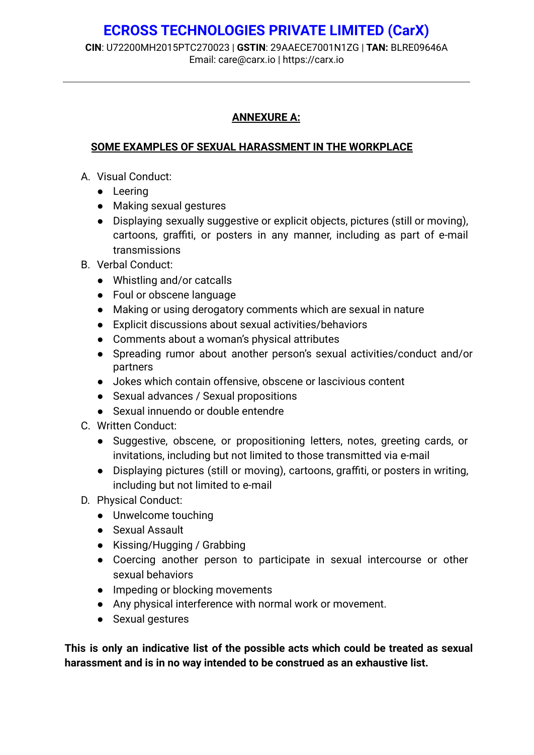**CIN**: U72200MH2015PTC270023 | **GSTIN**: 29AAECE7001N1ZG | **TAN:** BLRE09646A Email: care@carx.io | <https://carx.io>

# **ANNEXURE A:**

# **SOME EXAMPLES OF SEXUAL HARASSMENT IN THE WORKPLACE**

- A. Visual Conduct:
	- Leering
	- Making sexual gestures
	- Displaying sexually suggestive or explicit objects, pictures (still or moving), cartoons, graffiti, or posters in any manner, including as part of e-mail transmissions
- B. Verbal Conduct:
	- Whistling and/or catcalls
	- Foul or obscene language
	- Making or using derogatory comments which are sexual in nature
	- Explicit discussions about sexual activities/behaviors
	- Comments about a woman's physical attributes
	- Spreading rumor about another person's sexual activities/conduct and/or partners
	- Jokes which contain offensive, obscene or lascivious content
	- Sexual advances / Sexual propositions
	- Sexual innuendo or double entendre
- C. Written Conduct:
	- Suggestive, obscene, or propositioning letters, notes, greeting cards, or invitations, including but not limited to those transmitted via e-mail
	- Displaying pictures (still or moving), cartoons, graffiti, or posters in writing, including but not limited to e-mail
- D. Physical Conduct:
	- Unwelcome touching
	- Sexual Assault
	- Kissing/Hugging / Grabbing
	- Coercing another person to participate in sexual intercourse or other sexual behaviors
	- Impeding or blocking movements
	- Any physical interference with normal work or movement.
	- Sexual gestures

**This is only an indicative list of the possible acts which could be treated as sexual harassment and is in no way intended to be construed as an exhaustive list.**